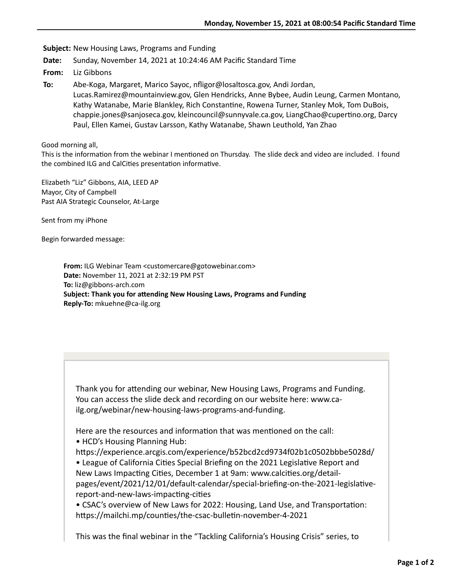**Subject:** New Housing Laws, Programs and Funding

**Date:** Sunday, November 14, 2021 at 10:24:46 AM Pacific Standard Time

**From:** Liz Gibbons

**To:** Abe-Koga, Margaret, Marico Sayoc, nfligor@losaltosca.gov, Andi Jordan, Lucas.Ramirez@mountainview.gov, Glen Hendricks, Anne Bybee, Audin Leung, Carmen Montano, Kathy Watanabe, Marie Blankley, Rich Constantine, Rowena Turner, Stanley Mok, Tom DuBois, chappie.jones@sanjoseca.gov, kleincouncil@sunnyvale.ca.gov, LiangChao@cupertino.org, Darcy Paul, Ellen Kamei, Gustav Larsson, Kathy Watanabe, Shawn Leuthold, Yan Zhao

Good morning all,

This is the information from the webinar I mentioned on Thursday. The slide deck and video are included. I found the combined ILG and CalCities presentation informative.

Elizabeth "Liz" Gibbons, AIA, LEED AP Mayor, City of Campbell Past AIA Strategic Counselor, At-Large

Sent from my iPhone

Begin forwarded message:

**From:** ILG Webinar Team <customercare@gotowebinar.com> **Date:** November 11, 2021 at 2:32:19 PM PST **To:** liz@gibbons-arch.com **Subject: Thank you for attending New Housing Laws, Programs and Funding Reply-To:** mkuehne@ca-ilg.org

Thank you for attending our webinar, New Housing Laws, Programs and Funding. You can access the slide deck and recording on our website here: www.cailg.org/webinar/new-housing-laws-programs-and-funding.

Here are the resources and information that was mentioned on the call:

• HCD's Housing Planning Hub:

hbps://experience.arcgis.com/experience/b52bcd2cd9734f02b1c0502bbbe5028d/ • League of California Cities Special Briefing on the 2021 Legislative Report and New Laws Impacting Cities, December 1 at 9am: www.calcities.org/detailpages/event/2021/12/01/default-calendar/special-briefing-on-the-2021-legislativereport-and-new-laws-impacting-cities

• CSAC's overview of New Laws for 2022: Housing, Land Use, and Transportation: https://mailchi.mp/counties/the-csac-bulletin-november-4-2021

This was the final webinar in the "Tackling California's Housing Crisis" series, to